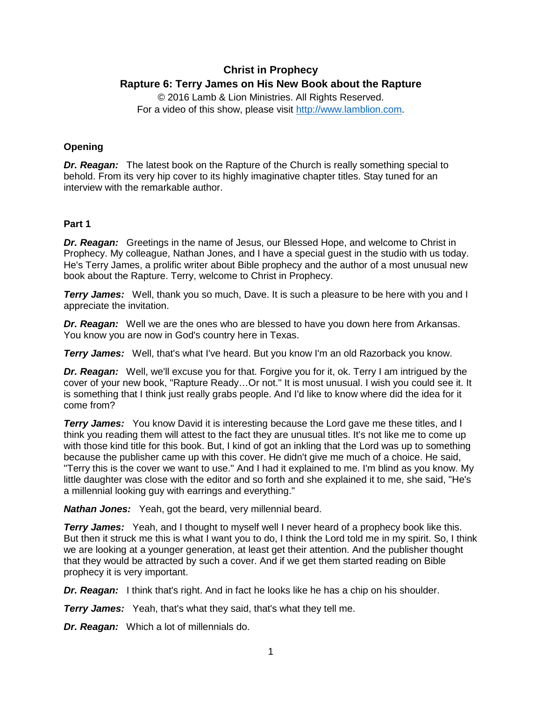# **Christ in Prophecy Rapture 6: Terry James on His New Book about the Rapture**

© 2016 Lamb & Lion Ministries. All Rights Reserved. For a video of this show, please visit [http://www.lamblion.com.](http://www.lamblion.com/)

# **Opening**

*Dr. Reagan:* The latest book on the Rapture of the Church is really something special to behold. From its very hip cover to its highly imaginative chapter titles. Stay tuned for an interview with the remarkable author.

## **Part 1**

*Dr. Reagan:* Greetings in the name of Jesus, our Blessed Hope, and welcome to Christ in Prophecy. My colleague, Nathan Jones, and I have a special guest in the studio with us today. He's Terry James, a prolific writer about Bible prophecy and the author of a most unusual new book about the Rapture. Terry, welcome to Christ in Prophecy.

**Terry James:** Well, thank you so much, Dave. It is such a pleasure to be here with you and I appreciate the invitation.

*Dr. Reagan:* Well we are the ones who are blessed to have you down here from Arkansas. You know you are now in God's country here in Texas.

*Terry James:* Well, that's what I've heard. But you know I'm an old Razorback you know.

*Dr. Reagan:* Well, we'll excuse you for that. Forgive you for it, ok. Terry I am intrigued by the cover of your new book, "Rapture Ready…Or not." It is most unusual. I wish you could see it. It is something that I think just really grabs people. And I'd like to know where did the idea for it come from?

**Terry James:** You know David it is interesting because the Lord gave me these titles, and I think you reading them will attest to the fact they are unusual titles. It's not like me to come up with those kind title for this book. But, I kind of got an inkling that the Lord was up to something because the publisher came up with this cover. He didn't give me much of a choice. He said, "Terry this is the cover we want to use." And I had it explained to me. I'm blind as you know. My little daughter was close with the editor and so forth and she explained it to me, she said, "He's a millennial looking guy with earrings and everything."

*Nathan Jones:* Yeah, got the beard, very millennial beard.

**Terry James:** Yeah, and I thought to myself well I never heard of a prophecy book like this. But then it struck me this is what I want you to do, I think the Lord told me in my spirit. So, I think we are looking at a younger generation, at least get their attention. And the publisher thought that they would be attracted by such a cover. And if we get them started reading on Bible prophecy it is very important.

*Dr. Reagan:* I think that's right. And in fact he looks like he has a chip on his shoulder.

*Terry James:* Yeah, that's what they said, that's what they tell me.

*Dr. Reagan:* Which a lot of millennials do.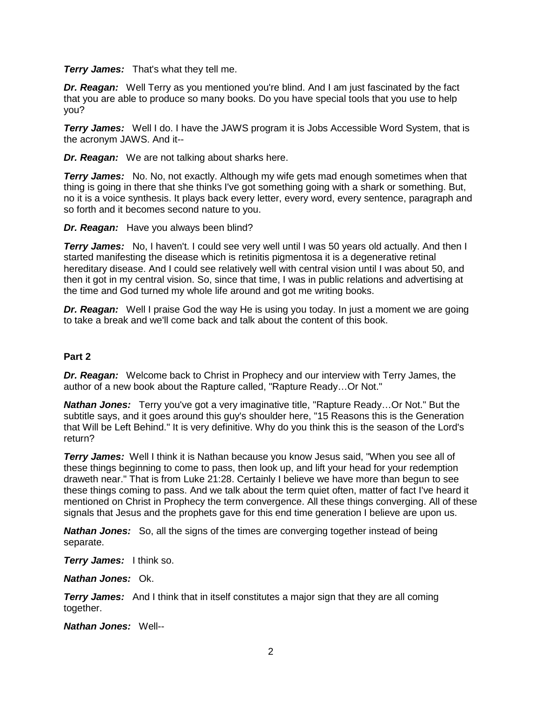*Terry James:* That's what they tell me.

**Dr. Reagan:** Well Terry as you mentioned you're blind. And I am just fascinated by the fact that you are able to produce so many books. Do you have special tools that you use to help you?

**Terry James:** Well I do. I have the JAWS program it is Jobs Accessible Word System, that is the acronym JAWS. And it--

*Dr. Reagan:* We are not talking about sharks here.

*Terry James:* No. No, not exactly. Although my wife gets mad enough sometimes when that thing is going in there that she thinks I've got something going with a shark or something. But, no it is a voice synthesis. It plays back every letter, every word, every sentence, paragraph and so forth and it becomes second nature to you.

*Dr. Reagan:* Have you always been blind?

**Terry James:** No, I haven't. I could see very well until I was 50 years old actually. And then I started manifesting the disease which is retinitis pigmentosa it is a degenerative retinal hereditary disease. And I could see relatively well with central vision until I was about 50, and then it got in my central vision. So, since that time, I was in public relations and advertising at the time and God turned my whole life around and got me writing books.

*Dr. Reagan:* Well I praise God the way He is using you today. In just a moment we are going to take a break and we'll come back and talk about the content of this book.

# **Part 2**

*Dr. Reagan:* Welcome back to Christ in Prophecy and our interview with Terry James, the author of a new book about the Rapture called, "Rapture Ready…Or Not."

*Nathan Jones:* Terry you've got a very imaginative title, "Rapture Ready…Or Not." But the subtitle says, and it goes around this guy's shoulder here, "15 Reasons this is the Generation that Will be Left Behind." It is very definitive. Why do you think this is the season of the Lord's return?

*Terry James:* Well I think it is Nathan because you know Jesus said, "When you see all of these things beginning to come to pass, then look up, and lift your head for your redemption draweth near." That is from Luke 21:28. Certainly I believe we have more than begun to see these things coming to pass. And we talk about the term quiet often, matter of fact I've heard it mentioned on Christ in Prophecy the term convergence. All these things converging. All of these signals that Jesus and the prophets gave for this end time generation I believe are upon us.

*Nathan Jones:* So, all the signs of the times are converging together instead of being separate.

*Terry James:* I think so.

*Nathan Jones:* Ok.

**Terry James:** And I think that in itself constitutes a major sign that they are all coming together.

*Nathan Jones:* Well--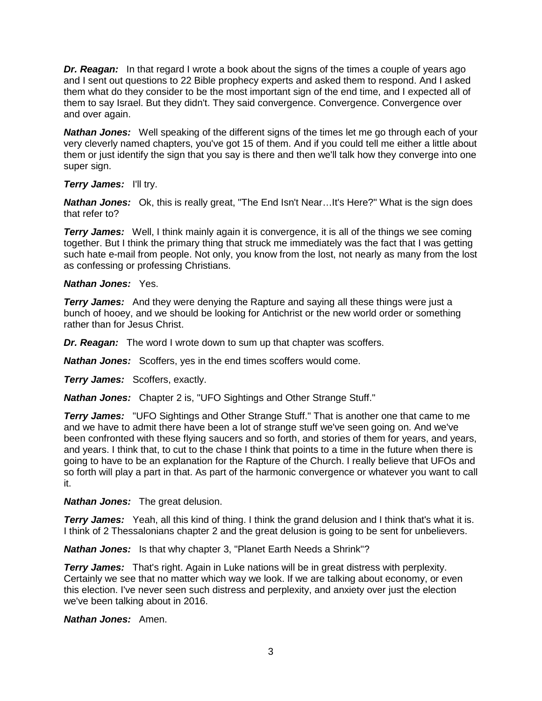**Dr. Reagan:** In that regard I wrote a book about the signs of the times a couple of years ago and I sent out questions to 22 Bible prophecy experts and asked them to respond. And I asked them what do they consider to be the most important sign of the end time, and I expected all of them to say Israel. But they didn't. They said convergence. Convergence. Convergence over and over again.

*Nathan Jones:* Well speaking of the different signs of the times let me go through each of your very cleverly named chapters, you've got 15 of them. And if you could tell me either a little about them or just identify the sign that you say is there and then we'll talk how they converge into one super sign.

## *Terry James:* I'll try.

*Nathan Jones:* Ok, this is really great, "The End Isn't Near…It's Here?" What is the sign does that refer to?

**Terry James:** Well, I think mainly again it is convergence, it is all of the things we see coming together. But I think the primary thing that struck me immediately was the fact that I was getting such hate e-mail from people. Not only, you know from the lost, not nearly as many from the lost as confessing or professing Christians.

## *Nathan Jones:* Yes.

*Terry James:* And they were denying the Rapture and saying all these things were just a bunch of hooey, and we should be looking for Antichrist or the new world order or something rather than for Jesus Christ.

*Dr. Reagan:* The word I wrote down to sum up that chapter was scoffers.

*Nathan Jones:* Scoffers, yes in the end times scoffers would come.

*Terry James:* Scoffers, exactly.

*Nathan Jones:* Chapter 2 is, "UFO Sightings and Other Strange Stuff."

**Terry James:** "UFO Sightings and Other Strange Stuff." That is another one that came to me and we have to admit there have been a lot of strange stuff we've seen going on. And we've been confronted with these flying saucers and so forth, and stories of them for years, and years, and years. I think that, to cut to the chase I think that points to a time in the future when there is going to have to be an explanation for the Rapture of the Church. I really believe that UFOs and so forth will play a part in that. As part of the harmonic convergence or whatever you want to call it.

# *Nathan Jones:* The great delusion.

**Terry James:** Yeah, all this kind of thing. I think the grand delusion and I think that's what it is. I think of 2 Thessalonians chapter 2 and the great delusion is going to be sent for unbelievers.

*Nathan Jones:* Is that why chapter 3, "Planet Earth Needs a Shrink"?

**Terry James:** That's right. Again in Luke nations will be in great distress with perplexity. Certainly we see that no matter which way we look. If we are talking about economy, or even this election. I've never seen such distress and perplexity, and anxiety over just the election we've been talking about in 2016.

*Nathan Jones:* Amen.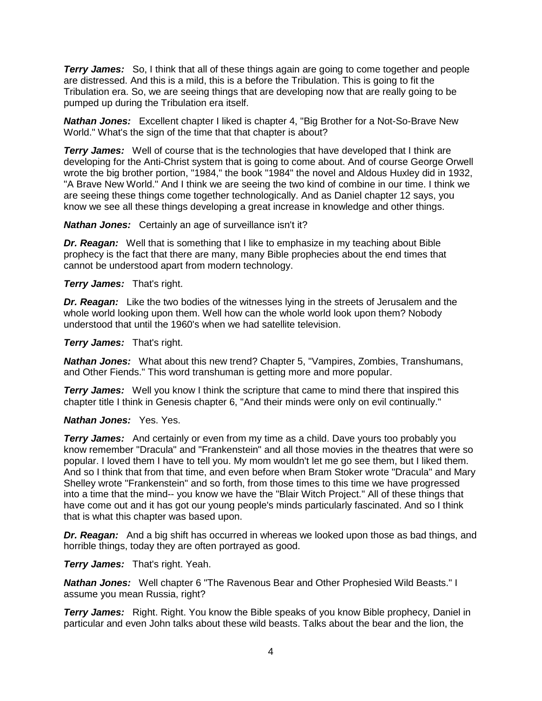*Terry James:* So, I think that all of these things again are going to come together and people are distressed. And this is a mild, this is a before the Tribulation. This is going to fit the Tribulation era. So, we are seeing things that are developing now that are really going to be pumped up during the Tribulation era itself.

*Nathan Jones:* Excellent chapter I liked is chapter 4, "Big Brother for a Not-So-Brave New World." What's the sign of the time that that chapter is about?

**Terry James:** Well of course that is the technologies that have developed that I think are developing for the Anti-Christ system that is going to come about. And of course George Orwell wrote the big brother portion, "1984," the book "1984" the novel and Aldous Huxley did in 1932, "A Brave New World." And I think we are seeing the two kind of combine in our time. I think we are seeing these things come together technologically. And as Daniel chapter 12 says, you know we see all these things developing a great increase in knowledge and other things.

*Nathan Jones:* Certainly an age of surveillance isn't it?

*Dr. Reagan:* Well that is something that I like to emphasize in my teaching about Bible prophecy is the fact that there are many, many Bible prophecies about the end times that cannot be understood apart from modern technology.

*Terry James:* That's right.

**Dr. Reagan:** Like the two bodies of the witnesses lying in the streets of Jerusalem and the whole world looking upon them. Well how can the whole world look upon them? Nobody understood that until the 1960's when we had satellite television.

*Terry James:* That's right.

*Nathan Jones:* What about this new trend? Chapter 5, "Vampires, Zombies, Transhumans, and Other Fiends." This word transhuman is getting more and more popular.

**Terry James:** Well you know I think the scripture that came to mind there that inspired this chapter title I think in Genesis chapter 6, "And their minds were only on evil continually."

#### *Nathan Jones:* Yes. Yes.

**Terry James:** And certainly or even from my time as a child. Dave yours too probably you know remember "Dracula" and "Frankenstein" and all those movies in the theatres that were so popular. I loved them I have to tell you. My mom wouldn't let me go see them, but I liked them. And so I think that from that time, and even before when Bram Stoker wrote "Dracula" and Mary Shelley wrote "Frankenstein" and so forth, from those times to this time we have progressed into a time that the mind-- you know we have the "Blair Witch Project." All of these things that have come out and it has got our young people's minds particularly fascinated. And so I think that is what this chapter was based upon.

*Dr. Reagan:* And a big shift has occurred in whereas we looked upon those as bad things, and horrible things, today they are often portrayed as good.

*Terry James:* That's right. Yeah.

*Nathan Jones:* Well chapter 6 "The Ravenous Bear and Other Prophesied Wild Beasts." I assume you mean Russia, right?

*Terry James:* Right. Right. You know the Bible speaks of you know Bible prophecy, Daniel in particular and even John talks about these wild beasts. Talks about the bear and the lion, the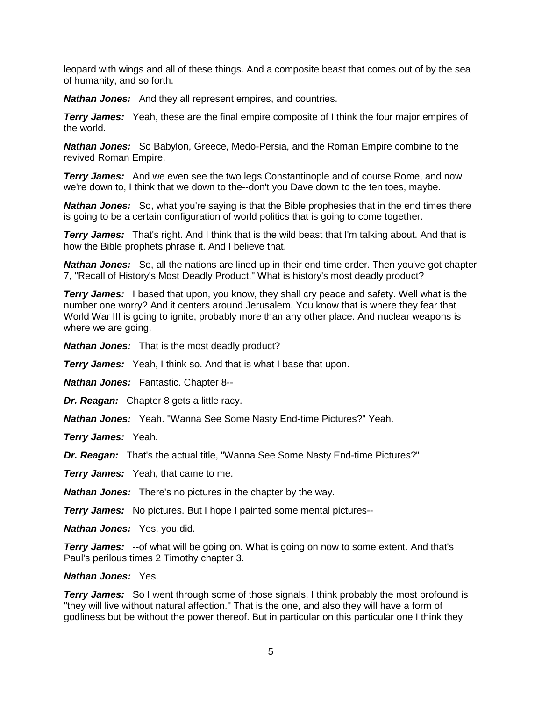leopard with wings and all of these things. And a composite beast that comes out of by the sea of humanity, and so forth.

*Nathan Jones:* And they all represent empires, and countries.

**Terry James:** Yeah, these are the final empire composite of I think the four major empires of the world.

*Nathan Jones:* So Babylon, Greece, Medo-Persia, and the Roman Empire combine to the revived Roman Empire.

*Terry James:* And we even see the two legs Constantinople and of course Rome, and now we're down to, I think that we down to the--don't you Dave down to the ten toes, maybe.

**Nathan Jones:** So, what you're saying is that the Bible prophesies that in the end times there is going to be a certain configuration of world politics that is going to come together.

**Terry James:** That's right. And I think that is the wild beast that I'm talking about. And that is how the Bible prophets phrase it. And I believe that.

*Nathan Jones:* So, all the nations are lined up in their end time order. Then you've got chapter 7, "Recall of History's Most Deadly Product." What is history's most deadly product?

**Terry James:** I based that upon, you know, they shall cry peace and safety. Well what is the number one worry? And it centers around Jerusalem. You know that is where they fear that World War III is going to ignite, probably more than any other place. And nuclear weapons is where we are going.

*Nathan Jones:* That is the most deadly product?

*Terry James:* Yeah, I think so. And that is what I base that upon.

*Nathan Jones:* Fantastic. Chapter 8--

*Dr. Reagan:* Chapter 8 gets a little racy.

*Nathan Jones:* Yeah. "Wanna See Some Nasty End-time Pictures?" Yeah.

*Terry James:* Yeah.

*Dr. Reagan:* That's the actual title, "Wanna See Some Nasty End-time Pictures?"

*Terry James:* Yeah, that came to me.

*Nathan Jones:* There's no pictures in the chapter by the way.

*Terry James:* No pictures. But I hope I painted some mental pictures--

*Nathan Jones:* Yes, you did.

**Terry James:** --of what will be going on. What is going on now to some extent. And that's Paul's perilous times 2 Timothy chapter 3.

#### *Nathan Jones:* Yes.

**Terry James:** So I went through some of those signals. I think probably the most profound is "they will live without natural affection." That is the one, and also they will have a form of godliness but be without the power thereof. But in particular on this particular one I think they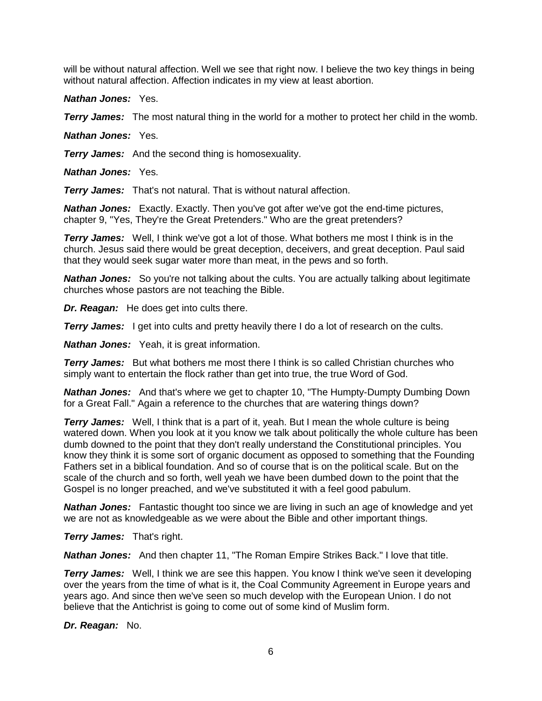will be without natural affection. Well we see that right now. I believe the two key things in being without natural affection. Affection indicates in my view at least abortion.

*Nathan Jones:* Yes.

*Terry James:* The most natural thing in the world for a mother to protect her child in the womb.

*Nathan Jones:* Yes.

*Terry James:* And the second thing is homosexuality.

*Nathan Jones:* Yes.

*Terry James:* That's not natural. That is without natural affection.

*Nathan Jones:* Exactly. Exactly. Then you've got after we've got the end-time pictures, chapter 9, "Yes, They're the Great Pretenders." Who are the great pretenders?

**Terry James:** Well, I think we've got a lot of those. What bothers me most I think is in the church. Jesus said there would be great deception, deceivers, and great deception. Paul said that they would seek sugar water more than meat, in the pews and so forth.

**Nathan Jones:** So you're not talking about the cults. You are actually talking about legitimate churches whose pastors are not teaching the Bible.

*Dr. Reagan:* He does get into cults there.

**Terry James:** I get into cults and pretty heavily there I do a lot of research on the cults.

*Nathan Jones:* Yeah, it is great information.

**Terry James:** But what bothers me most there I think is so called Christian churches who simply want to entertain the flock rather than get into true, the true Word of God.

*Nathan Jones:* And that's where we get to chapter 10, "The Humpty-Dumpty Dumbing Down for a Great Fall." Again a reference to the churches that are watering things down?

**Terry James:** Well, I think that is a part of it, yeah. But I mean the whole culture is being watered down. When you look at it you know we talk about politically the whole culture has been dumb downed to the point that they don't really understand the Constitutional principles. You know they think it is some sort of organic document as opposed to something that the Founding Fathers set in a biblical foundation. And so of course that is on the political scale. But on the scale of the church and so forth, well yeah we have been dumbed down to the point that the Gospel is no longer preached, and we've substituted it with a feel good pabulum.

*Nathan Jones:* Fantastic thought too since we are living in such an age of knowledge and yet we are not as knowledgeable as we were about the Bible and other important things.

*Terry James:* That's right.

*Nathan Jones:* And then chapter 11, "The Roman Empire Strikes Back." I love that title.

**Terry James:** Well, I think we are see this happen. You know I think we've seen it developing over the years from the time of what is it, the Coal Community Agreement in Europe years and years ago. And since then we've seen so much develop with the European Union. I do not believe that the Antichrist is going to come out of some kind of Muslim form.

*Dr. Reagan:* No.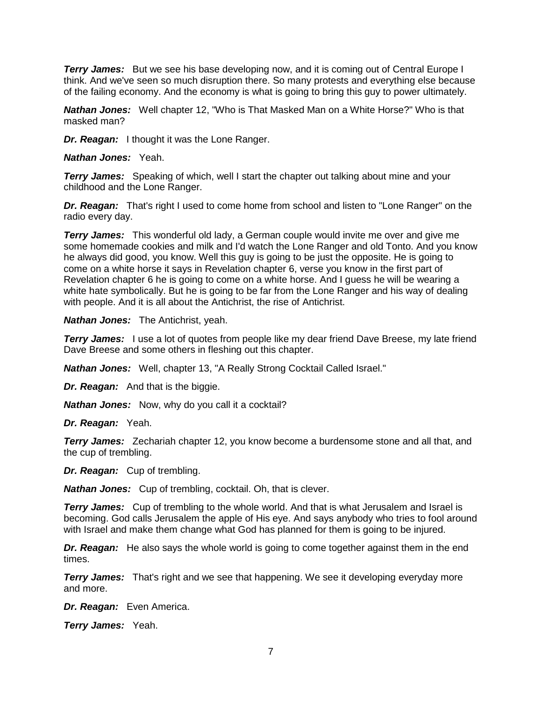**Terry James:** But we see his base developing now, and it is coming out of Central Europe I think. And we've seen so much disruption there. So many protests and everything else because of the failing economy. And the economy is what is going to bring this guy to power ultimately.

*Nathan Jones:* Well chapter 12, "Who is That Masked Man on a White Horse?" Who is that masked man?

*Dr. Reagan:* I thought it was the Lone Ranger.

*Nathan Jones:* Yeah.

*Terry James:* Speaking of which, well I start the chapter out talking about mine and your childhood and the Lone Ranger.

*Dr. Reagan:* That's right I used to come home from school and listen to "Lone Ranger" on the radio every day.

*Terry James:* This wonderful old lady, a German couple would invite me over and give me some homemade cookies and milk and I'd watch the Lone Ranger and old Tonto. And you know he always did good, you know. Well this guy is going to be just the opposite. He is going to come on a white horse it says in Revelation chapter 6, verse you know in the first part of Revelation chapter 6 he is going to come on a white horse. And I guess he will be wearing a white hate symbolically. But he is going to be far from the Lone Ranger and his way of dealing with people. And it is all about the Antichrist, the rise of Antichrist.

*Nathan Jones:* The Antichrist, yeah.

**Terry James:** I use a lot of quotes from people like my dear friend Dave Breese, my late friend Dave Breese and some others in fleshing out this chapter.

*Nathan Jones:* Well, chapter 13, "A Really Strong Cocktail Called Israel."

*Dr. Reagan:* And that is the biggie.

*Nathan Jones:* Now, why do you call it a cocktail?

*Dr. Reagan:* Yeah.

*Terry James:* Zechariah chapter 12, you know become a burdensome stone and all that, and the cup of trembling.

*Dr. Reagan:* Cup of trembling.

*Nathan Jones:* Cup of trembling, cocktail. Oh, that is clever.

**Terry James:** Cup of trembling to the whole world. And that is what Jerusalem and Israel is becoming. God calls Jerusalem the apple of His eye. And says anybody who tries to fool around with Israel and make them change what God has planned for them is going to be injured.

*Dr. Reagan:* He also says the whole world is going to come together against them in the end times.

**Terry James:** That's right and we see that happening. We see it developing everyday more and more.

*Dr. Reagan:* Even America.

*Terry James:* Yeah.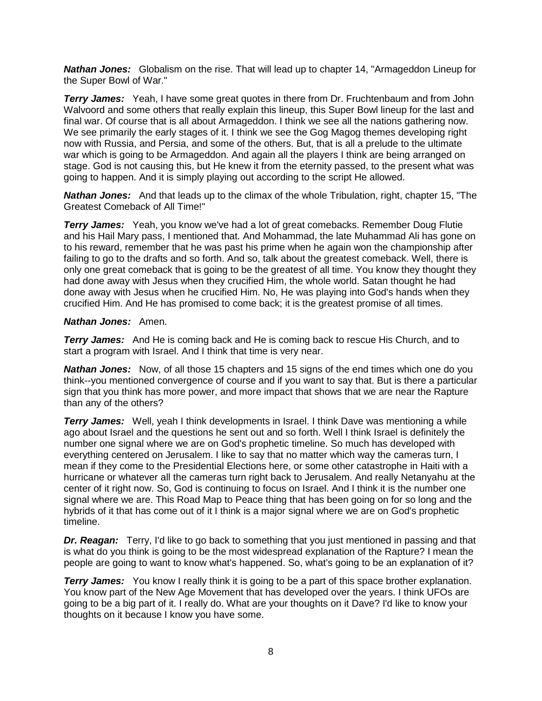*Nathan Jones:* Globalism on the rise. That will lead up to chapter 14, "Armageddon Lineup for the Super Bowl of War."

**Terry James:** Yeah, I have some great quotes in there from Dr. Fruchtenbaum and from John Walvoord and some others that really explain this lineup, this Super Bowl lineup for the last and final war. Of course that is all about Armageddon. I think we see all the nations gathering now. We see primarily the early stages of it. I think we see the Gog Magog themes developing right now with Russia, and Persia, and some of the others. But, that is all a prelude to the ultimate war which is going to be Armageddon. And again all the players I think are being arranged on stage. God is not causing this, but He knew it from the eternity passed, to the present what was going to happen. And it is simply playing out according to the script He allowed.

*Nathan Jones:* And that leads up to the climax of the whole Tribulation, right, chapter 15, "The Greatest Comeback of All Time!"

**Terry James:** Yeah, you know we've had a lot of great comebacks. Remember Doug Flutie and his Hail Mary pass, I mentioned that. And Mohammad, the late Muhammad Ali has gone on to his reward, remember that he was past his prime when he again won the championship after failing to go to the drafts and so forth. And so, talk about the greatest comeback. Well, there is only one great comeback that is going to be the greatest of all time. You know they thought they had done away with Jesus when they crucified Him, the whole world. Satan thought he had done away with Jesus when he crucified Him. No, He was playing into God's hands when they crucified Him. And He has promised to come back; it is the greatest promise of all times.

#### *Nathan Jones:* Amen.

**Terry James:** And He is coming back and He is coming back to rescue His Church, and to start a program with Israel. And I think that time is very near.

*Nathan Jones:* Now, of all those 15 chapters and 15 signs of the end times which one do you think--you mentioned convergence of course and if you want to say that. But is there a particular sign that you think has more power, and more impact that shows that we are near the Rapture than any of the others?

**Terry James:** Well, yeah I think developments in Israel. I think Dave was mentioning a while ago about Israel and the questions he sent out and so forth. Well I think Israel is definitely the number one signal where we are on God's prophetic timeline. So much has developed with everything centered on Jerusalem. I like to say that no matter which way the cameras turn, I mean if they come to the Presidential Elections here, or some other catastrophe in Haiti with a hurricane or whatever all the cameras turn right back to Jerusalem. And really Netanyahu at the center of it right now. So, God is continuing to focus on Israel. And I think it is the number one signal where we are. This Road Map to Peace thing that has been going on for so long and the hybrids of it that has come out of it I think is a major signal where we are on God's prophetic timeline.

**Dr. Reagan:** Terry, I'd like to go back to something that you just mentioned in passing and that is what do you think is going to be the most widespread explanation of the Rapture? I mean the people are going to want to know what's happened. So, what's going to be an explanation of it?

*Terry James:* You know I really think it is going to be a part of this space brother explanation. You know part of the New Age Movement that has developed over the years. I think UFOs are going to be a big part of it. I really do. What are your thoughts on it Dave? I'd like to know your thoughts on it because I know you have some.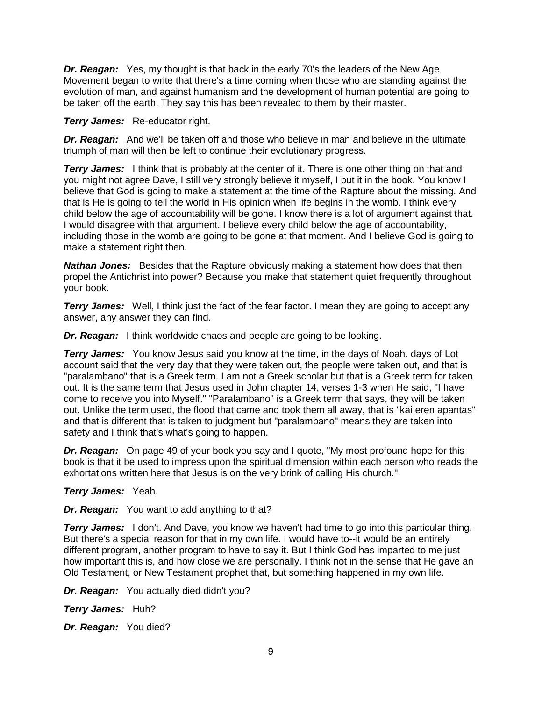*Dr. Reagan:* Yes, my thought is that back in the early 70's the leaders of the New Age Movement began to write that there's a time coming when those who are standing against the evolution of man, and against humanism and the development of human potential are going to be taken off the earth. They say this has been revealed to them by their master.

*Terry James:* Re-educator right.

*Dr. Reagan:* And we'll be taken off and those who believe in man and believe in the ultimate triumph of man will then be left to continue their evolutionary progress.

**Terry James:** I think that is probably at the center of it. There is one other thing on that and you might not agree Dave, I still very strongly believe it myself, I put it in the book. You know I believe that God is going to make a statement at the time of the Rapture about the missing. And that is He is going to tell the world in His opinion when life begins in the womb. I think every child below the age of accountability will be gone. I know there is a lot of argument against that. I would disagree with that argument. I believe every child below the age of accountability, including those in the womb are going to be gone at that moment. And I believe God is going to make a statement right then.

*Nathan Jones:* Besides that the Rapture obviously making a statement how does that then propel the Antichrist into power? Because you make that statement quiet frequently throughout your book.

**Terry James:** Well, I think just the fact of the fear factor. I mean they are going to accept any answer, any answer they can find.

*Dr. Reagan:* I think worldwide chaos and people are going to be looking.

**Terry James:** You know Jesus said you know at the time, in the days of Noah, days of Lot account said that the very day that they were taken out, the people were taken out, and that is "paralambano" that is a Greek term. I am not a Greek scholar but that is a Greek term for taken out. It is the same term that Jesus used in John chapter 14, verses 1-3 when He said, "I have come to receive you into Myself." "Paralambano" is a Greek term that says, they will be taken out. Unlike the term used, the flood that came and took them all away, that is "kai eren apantas" and that is different that is taken to judgment but "paralambano" means they are taken into safety and I think that's what's going to happen.

*Dr. Reagan:* On page 49 of your book you say and I quote, "My most profound hope for this book is that it be used to impress upon the spiritual dimension within each person who reads the exhortations written here that Jesus is on the very brink of calling His church."

#### *Terry James:* Yeah.

*Dr. Reagan:* You want to add anything to that?

**Terry James:** I don't. And Dave, you know we haven't had time to go into this particular thing. But there's a special reason for that in my own life. I would have to--it would be an entirely different program, another program to have to say it. But I think God has imparted to me just how important this is, and how close we are personally. I think not in the sense that He gave an Old Testament, or New Testament prophet that, but something happened in my own life.

*Dr. Reagan:* You actually died didn't you?

*Terry James:* Huh?

*Dr. Reagan:* You died?